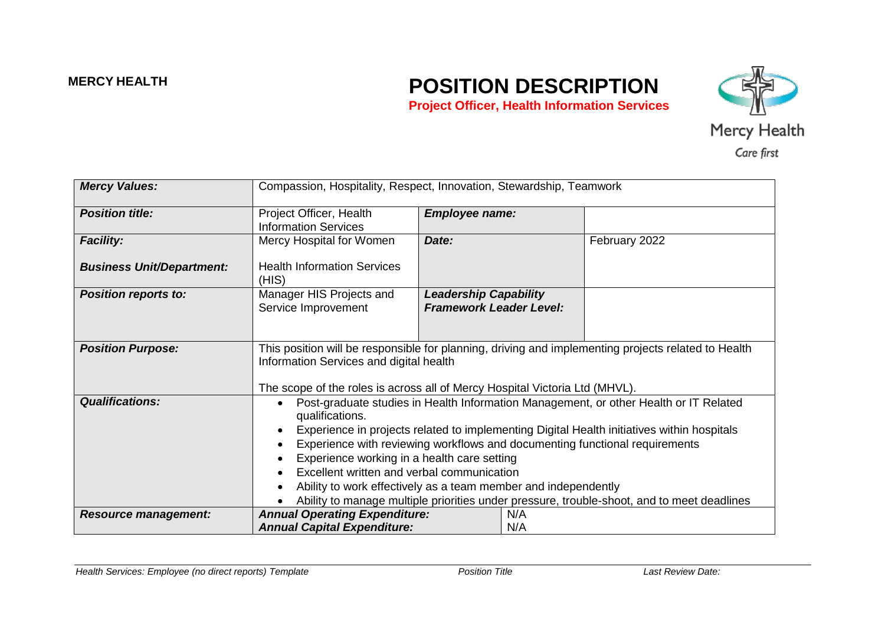# **MERCY HEALTH POSITION DESCRIPTION Project Officer, Health Information Services**



| <b>Mercy Values:</b>             | Compassion, Hospitality, Respect, Innovation, Stewardship, Teamwork                                                                                                                                                                                                                                                                                                                                                                                                                                                                                |                                                                |            |               |
|----------------------------------|----------------------------------------------------------------------------------------------------------------------------------------------------------------------------------------------------------------------------------------------------------------------------------------------------------------------------------------------------------------------------------------------------------------------------------------------------------------------------------------------------------------------------------------------------|----------------------------------------------------------------|------------|---------------|
| <b>Position title:</b>           | Project Officer, Health<br><b>Information Services</b>                                                                                                                                                                                                                                                                                                                                                                                                                                                                                             | <b>Employee name:</b>                                          |            |               |
| <b>Facility:</b>                 | Mercy Hospital for Women                                                                                                                                                                                                                                                                                                                                                                                                                                                                                                                           | Date:                                                          |            | February 2022 |
| <b>Business Unit/Department:</b> | <b>Health Information Services</b><br>(HIS)                                                                                                                                                                                                                                                                                                                                                                                                                                                                                                        |                                                                |            |               |
| <b>Position reports to:</b>      | Manager HIS Projects and<br>Service Improvement                                                                                                                                                                                                                                                                                                                                                                                                                                                                                                    | <b>Leadership Capability</b><br><b>Framework Leader Level:</b> |            |               |
| <b>Position Purpose:</b>         | This position will be responsible for planning, driving and implementing projects related to Health<br>Information Services and digital health<br>The scope of the roles is across all of Mercy Hospital Victoria Ltd (MHVL).                                                                                                                                                                                                                                                                                                                      |                                                                |            |               |
| <b>Qualifications:</b>           | Post-graduate studies in Health Information Management, or other Health or IT Related<br>qualifications.<br>Experience in projects related to implementing Digital Health initiatives within hospitals<br>Experience with reviewing workflows and documenting functional requirements<br>Experience working in a health care setting<br>Excellent written and verbal communication<br>Ability to work effectively as a team member and independently<br>Ability to manage multiple priorities under pressure, trouble-shoot, and to meet deadlines |                                                                |            |               |
| <b>Resource management:</b>      | <b>Annual Operating Expenditure:</b><br><b>Annual Capital Expenditure:</b>                                                                                                                                                                                                                                                                                                                                                                                                                                                                         |                                                                | N/A<br>N/A |               |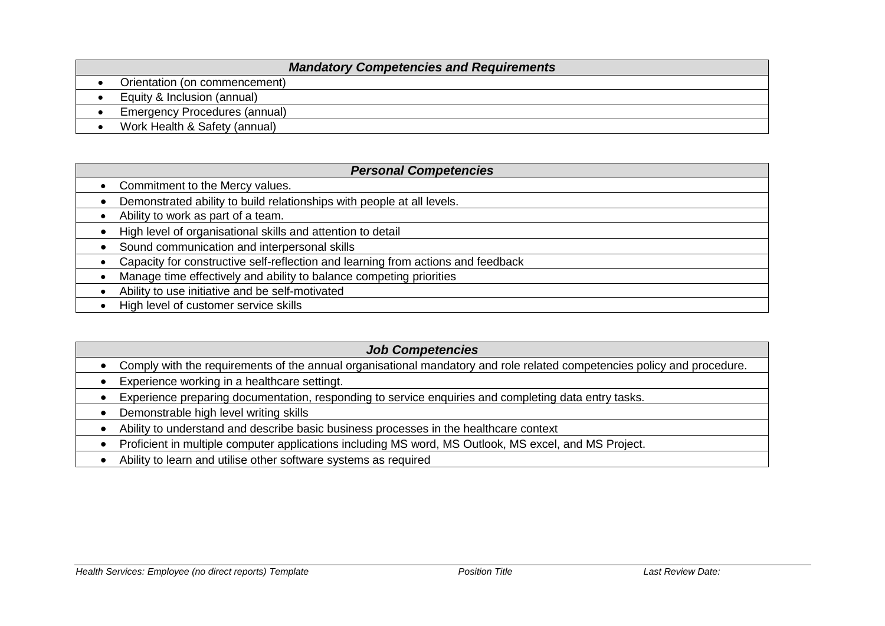### *Mandatory Competencies and Requirements*

- Orientation (on commencement)
- Equity & Inclusion (annual)
- Emergency Procedures (annual)
- Work Health & Safety (annual)

#### *Personal Competencies*

- Commitment to the Mercy values.
- Demonstrated ability to build relationships with people at all levels.
- Ability to work as part of a team.
- High level of organisational skills and attention to detail
- Sound communication and interpersonal skills
- Capacity for constructive self-reflection and learning from actions and feedback
- Manage time effectively and ability to balance competing priorities
- Ability to use initiative and be self-motivated
- High level of customer service skills

### *Job Competencies* Comply with the requirements of the annual organisational mandatory and role related competencies policy and procedure. • Experience working in a healthcare settingt. Experience preparing documentation, responding to service enquiries and completing data entry tasks. • Demonstrable high level writing skills Ability to understand and describe basic business processes in the healthcare context Proficient in multiple computer applications including MS word, MS Outlook, MS excel, and MS Project.

Ability to learn and utilise other software systems as required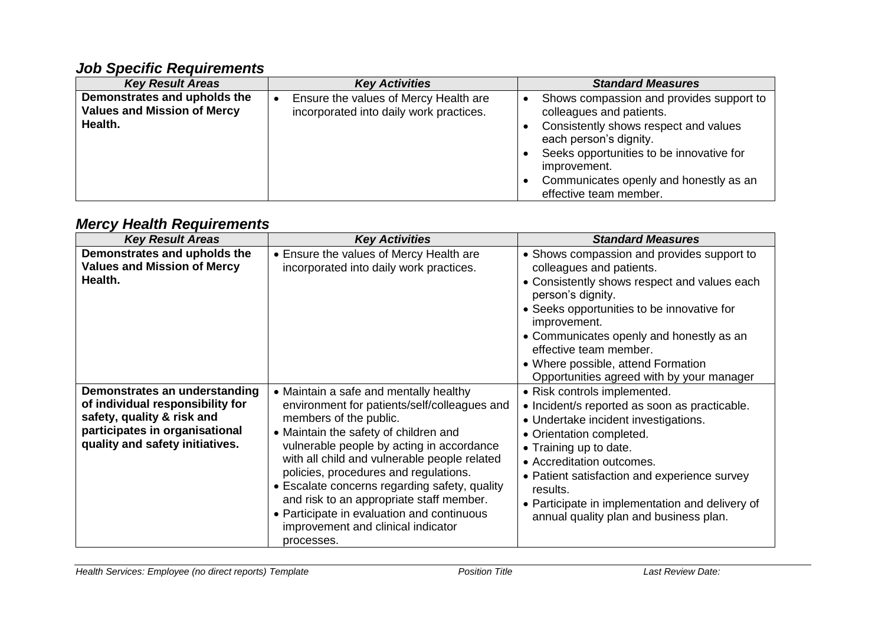## *Job Specific Requirements*

| <b>Key Result Areas</b>                                                       | <b>Key Activities</b>                                                            | <b>Standard Measures</b>                                                                                                                                                                                                                                                             |
|-------------------------------------------------------------------------------|----------------------------------------------------------------------------------|--------------------------------------------------------------------------------------------------------------------------------------------------------------------------------------------------------------------------------------------------------------------------------------|
| Demonstrates and upholds the<br><b>Values and Mission of Mercy</b><br>Health. | Ensure the values of Mercy Health are<br>incorporated into daily work practices. | Shows compassion and provides support to<br>$\bullet$<br>colleagues and patients.<br>Consistently shows respect and values<br>each person's dignity.<br>Seeks opportunities to be innovative for<br>improvement.<br>Communicates openly and honestly as an<br>effective team member. |

# *Mercy Health Requirements*

| <b>Key Result Areas</b>                                                                                                                                              | <b>Key Activities</b>                                                                                                                                                                                                                                                                                                                                                                                                                                                                          | <b>Standard Measures</b>                                                                                                                                                                                                                                                                                                                                           |
|----------------------------------------------------------------------------------------------------------------------------------------------------------------------|------------------------------------------------------------------------------------------------------------------------------------------------------------------------------------------------------------------------------------------------------------------------------------------------------------------------------------------------------------------------------------------------------------------------------------------------------------------------------------------------|--------------------------------------------------------------------------------------------------------------------------------------------------------------------------------------------------------------------------------------------------------------------------------------------------------------------------------------------------------------------|
| Demonstrates and upholds the<br><b>Values and Mission of Mercy</b><br>Health.                                                                                        | • Ensure the values of Mercy Health are<br>incorporated into daily work practices.                                                                                                                                                                                                                                                                                                                                                                                                             | • Shows compassion and provides support to<br>colleagues and patients.<br>• Consistently shows respect and values each<br>person's dignity.<br>• Seeks opportunities to be innovative for<br>improvement.<br>• Communicates openly and honestly as an<br>effective team member.<br>• Where possible, attend Formation<br>Opportunities agreed with by your manager |
| Demonstrates an understanding<br>of individual responsibility for<br>safety, quality & risk and<br>participates in organisational<br>quality and safety initiatives. | • Maintain a safe and mentally healthy<br>environment for patients/self/colleagues and<br>members of the public.<br>• Maintain the safety of children and<br>vulnerable people by acting in accordance<br>with all child and vulnerable people related<br>policies, procedures and regulations.<br>• Escalate concerns regarding safety, quality<br>and risk to an appropriate staff member.<br>• Participate in evaluation and continuous<br>improvement and clinical indicator<br>processes. | • Risk controls implemented.<br>• Incident/s reported as soon as practicable.<br>• Undertake incident investigations.<br>• Orientation completed.<br>• Training up to date.<br>• Accreditation outcomes.<br>• Patient satisfaction and experience survey<br>results.<br>• Participate in implementation and delivery of<br>annual quality plan and business plan.  |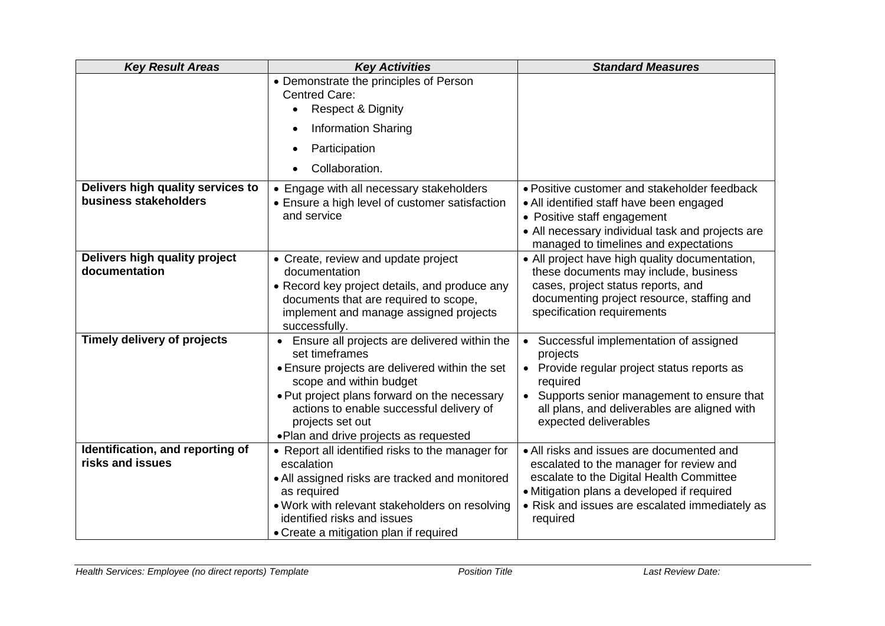| <b>Key Result Areas</b>            | <b>Key Activities</b>                                                     | <b>Standard Measures</b>                                |
|------------------------------------|---------------------------------------------------------------------------|---------------------------------------------------------|
|                                    | • Demonstrate the principles of Person                                    |                                                         |
|                                    | Centred Care:                                                             |                                                         |
|                                    | <b>Respect &amp; Dignity</b><br>$\bullet$                                 |                                                         |
|                                    | <b>Information Sharing</b><br>$\bullet$                                   |                                                         |
|                                    | Participation                                                             |                                                         |
|                                    | Collaboration.                                                            |                                                         |
| Delivers high quality services to  | • Engage with all necessary stakeholders                                  | • Positive customer and stakeholder feedback            |
| business stakeholders              | • Ensure a high level of customer satisfaction                            | • All identified staff have been engaged                |
|                                    | and service                                                               | • Positive staff engagement                             |
|                                    |                                                                           | • All necessary individual task and projects are        |
|                                    |                                                                           | managed to timelines and expectations                   |
| Delivers high quality project      | • Create, review and update project                                       | • All project have high quality documentation,          |
| documentation                      | documentation                                                             | these documents may include, business                   |
|                                    | • Record key project details, and produce any                             | cases, project status reports, and                      |
|                                    | documents that are required to scope,                                     | documenting project resource, staffing and              |
|                                    | implement and manage assigned projects                                    | specification requirements                              |
|                                    | successfully.                                                             |                                                         |
| <b>Timely delivery of projects</b> | • Ensure all projects are delivered within the<br>set timeframes          | • Successful implementation of assigned<br>projects     |
|                                    | • Ensure projects are delivered within the set<br>scope and within budget | • Provide regular project status reports as<br>required |
|                                    | . Put project plans forward on the necessary                              | • Supports senior management to ensure that             |
|                                    | actions to enable successful delivery of                                  | all plans, and deliverables are aligned with            |
|                                    | projects set out                                                          | expected deliverables                                   |
|                                    | . Plan and drive projects as requested                                    |                                                         |
| Identification, and reporting of   | • Report all identified risks to the manager for                          | • All risks and issues are documented and               |
| risks and issues                   | escalation                                                                | escalated to the manager for review and                 |
|                                    | • All assigned risks are tracked and monitored                            | escalate to the Digital Health Committee                |
|                                    | as required                                                               | • Mitigation plans a developed if required              |
|                                    | . Work with relevant stakeholders on resolving                            | • Risk and issues are escalated immediately as          |
|                                    | identified risks and issues                                               | required                                                |
|                                    | • Create a mitigation plan if required                                    |                                                         |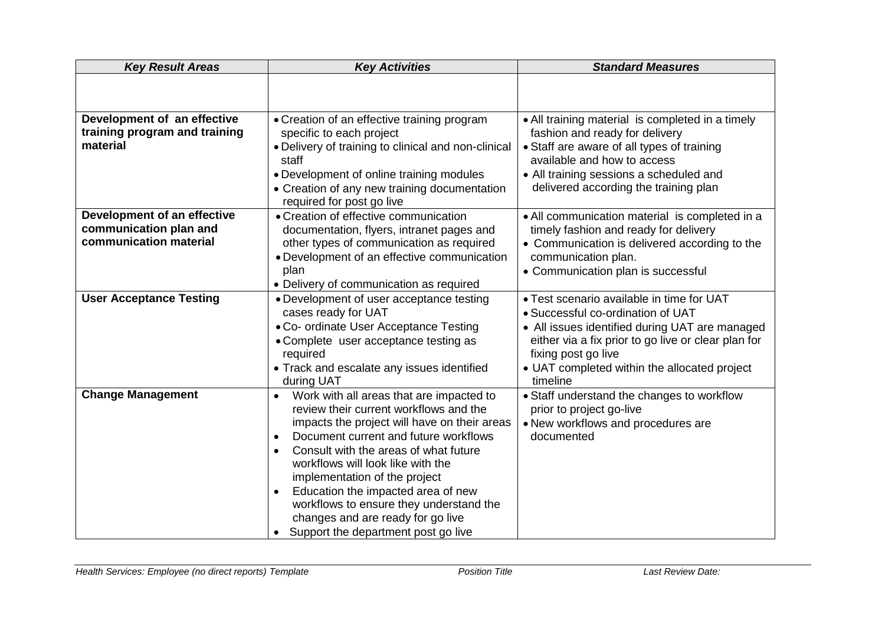| <b>Key Result Areas</b>                                                         | <b>Key Activities</b>                                                                                                                                                                                                                                                                                                                                                                                                                                                                                                    | <b>Standard Measures</b>                                                                                                                                                                                                                                                   |  |
|---------------------------------------------------------------------------------|--------------------------------------------------------------------------------------------------------------------------------------------------------------------------------------------------------------------------------------------------------------------------------------------------------------------------------------------------------------------------------------------------------------------------------------------------------------------------------------------------------------------------|----------------------------------------------------------------------------------------------------------------------------------------------------------------------------------------------------------------------------------------------------------------------------|--|
|                                                                                 |                                                                                                                                                                                                                                                                                                                                                                                                                                                                                                                          |                                                                                                                                                                                                                                                                            |  |
| Development of an effective<br>training program and training<br>material        | • Creation of an effective training program<br>specific to each project<br>• Delivery of training to clinical and non-clinical<br>staff<br>• Development of online training modules<br>• Creation of any new training documentation<br>required for post go live                                                                                                                                                                                                                                                         | • All training material is completed in a timely<br>fashion and ready for delivery<br>• Staff are aware of all types of training<br>available and how to access<br>• All training sessions a scheduled and<br>delivered according the training plan                        |  |
| Development of an effective<br>communication plan and<br>communication material | • Creation of effective communication<br>documentation, flyers, intranet pages and<br>other types of communication as required<br>• Development of an effective communication<br>plan<br>• Delivery of communication as required                                                                                                                                                                                                                                                                                         | • All communication material is completed in a<br>timely fashion and ready for delivery<br>• Communication is delivered according to the<br>communication plan.<br>• Communication plan is successful                                                                      |  |
| <b>User Acceptance Testing</b>                                                  | • Development of user acceptance testing<br>cases ready for UAT<br>• Co- ordinate User Acceptance Testing<br>• Complete user acceptance testing as<br>required<br>• Track and escalate any issues identified<br>during UAT                                                                                                                                                                                                                                                                                               | • Test scenario available in time for UAT<br>• Successful co-ordination of UAT<br>• All issues identified during UAT are managed<br>either via a fix prior to go live or clear plan for<br>fixing post go live<br>• UAT completed within the allocated project<br>timeline |  |
| <b>Change Management</b>                                                        | Work with all areas that are impacted to<br>$\bullet$<br>review their current workflows and the<br>impacts the project will have on their areas<br>Document current and future workflows<br>$\bullet$<br>Consult with the areas of what future<br>$\bullet$<br>workflows will look like with the<br>implementation of the project<br>Education the impacted area of new<br>$\bullet$<br>workflows to ensure they understand the<br>changes and are ready for go live<br>Support the department post go live<br>$\bullet$ | • Staff understand the changes to workflow<br>prior to project go-live<br>• New workflows and procedures are<br>documented                                                                                                                                                 |  |